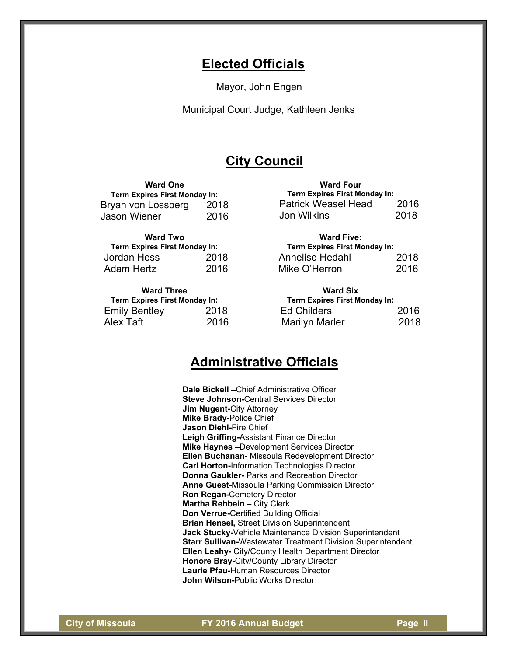# **Elected Officials**

Mayor, John Engen

Municipal Court Judge, Kathleen Jenks

# **City Council**

# **Ward One**

**Term Expires First Monday In:**  Bryan von Lossberg 2018 Jason Wiener 2016

### **Ward Two**

| Term Expires First Monday In: |      |
|-------------------------------|------|
| Jordan Hess                   | 2018 |
| <b>Adam Hertz</b>             | 2016 |

#### **Ward Three**

| Term Expires First Monday In: |      |
|-------------------------------|------|
| <b>Emily Bentley</b>          | 2018 |
| Alex Taft                     | 2016 |

| <b>Ward Four</b>              |      |
|-------------------------------|------|
| Term Expires First Monday In: |      |
| <b>Patrick Weasel Head</b>    | 2016 |
| Jon Wilkins                   | 2018 |

# **Ward Five: Term Expires First Monday In:**  Annelise Hedahl 2018 Mike O'Herron 2016

# **Ward Six Term Expires First Monday In:**  Ed Childers 2016 Marilyn Marler 2018

# **Administrative Officials**

**Dale Bickell –**Chief Administrative Officer **Steve Johnson-**Central Services Director **Jim Nugent-**City Attorney **Mike Brady-**Police Chief **Jason Diehl-**Fire Chief **Leigh Griffing-**Assistant Finance Director **Mike Haynes –**Development Services Director **Ellen Buchanan-** Missoula Redevelopment Director **Carl Horton-**Information Technologies Director **Donna Gaukler-** Parks and Recreation Director **Anne Guest-**Missoula Parking Commission Director **Ron Regan-**Cemetery Director **Martha Rehbein –** City Clerk **Don Verrue-**Certified Building Official **Brian Hensel,** Street Division Superintendent **Jack Stucky-**Vehicle Maintenance Division Superintendent **Starr Sullivan-**Wastewater Treatment Division Superintendent **Ellen Leahy-** City/County Health Department Director **Honore Bray-**City/County Library Director **Laurie Pfau-**Human Resources Director **John Wilson-**Public Works Director

**City of Missoula FY 2016 Annual Budget Page II**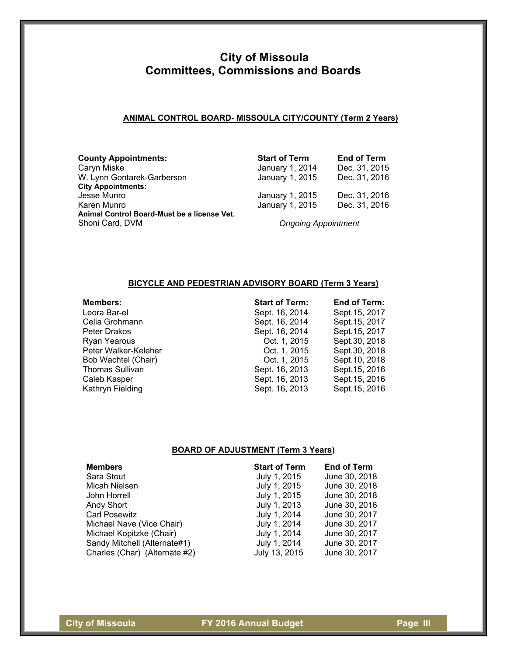### **ANIMAL CONTROL BOARD- MISSOULA CITY/COUNTY (Term 2 Years)**

| <b>County Appointments:</b>                 | <b>Start of Term</b>       | <b>End of Term</b> |
|---------------------------------------------|----------------------------|--------------------|
| Caryn Miske                                 | January 1, 2014            | Dec. 31, 2015      |
| W. Lynn Gontarek-Garberson                  | January 1, 2015            | Dec. 31, 2016      |
| <b>City Appointments:</b>                   |                            |                    |
| Jesse Munro                                 | January 1, 2015            | Dec. 31, 2016      |
| Karen Munro                                 | January 1, 2015            | Dec. 31, 2016      |
| Animal Control Board-Must be a license Vet. |                            |                    |
| Shoni Card, DVM                             | <b>Ongoing Appointment</b> |                    |

# **BICYCLE AND PEDESTRIAN ADVISORY BOARD (Term 3 Years)**

| <b>Members:</b>        | <b>Start of Term:</b> | End of Term:   |
|------------------------|-----------------------|----------------|
| Leora Bar-el           | Sept. 16, 2014        | Sept. 15, 2017 |
| Celia Grohmann         | Sept. 16, 2014        | Sept. 15, 2017 |
| Peter Drakos           | Sept. 16, 2014        | Sept. 15, 2017 |
| Ryan Yearous           | Oct. 1, 2015          | Sept.30, 2018  |
| Peter Walker-Keleher   | Oct. 1, 2015          | Sept.30, 2018  |
| Bob Wachtel (Chair)    | Oct. 1, 2015          | Sept. 10, 2018 |
| <b>Thomas Sullivan</b> | Sept. 16, 2013        | Sept. 15, 2016 |
| Caleb Kasper           | Sept. 16, 2013        | Sept. 15, 2016 |
| Kathryn Fielding       | Sept. 16, 2013        | Sept. 15, 2016 |

# **BOARD OF ADJUSTMENT (Term 3 Years)**

| <b>Members</b>                | <b>Start of Term</b> | <b>End of Term</b> |
|-------------------------------|----------------------|--------------------|
| Sara Stout                    | July 1, 2015         | June 30, 2018      |
| Micah Nielsen                 | July 1, 2015         | June 30, 2018      |
| John Horrell                  | July 1, 2015         | June 30, 2018      |
| Andy Short                    | July 1, 2013         | June 30, 2016      |
| <b>Carl Posewitz</b>          | July 1, 2014         | June 30, 2017      |
| Michael Nave (Vice Chair)     | July 1, 2014         | June 30, 2017      |
| Michael Kopitzke (Chair)      | July 1, 2014         | June 30, 2017      |
| Sandy Mitchell (Alternate#1)  | July 1, 2014         | June 30, 2017      |
| Charles (Char) (Alternate #2) | July 13, 2015        | June 30, 2017      |

**City of Missoula City of Missoula** FY 2016 Annual Budget City of Missoula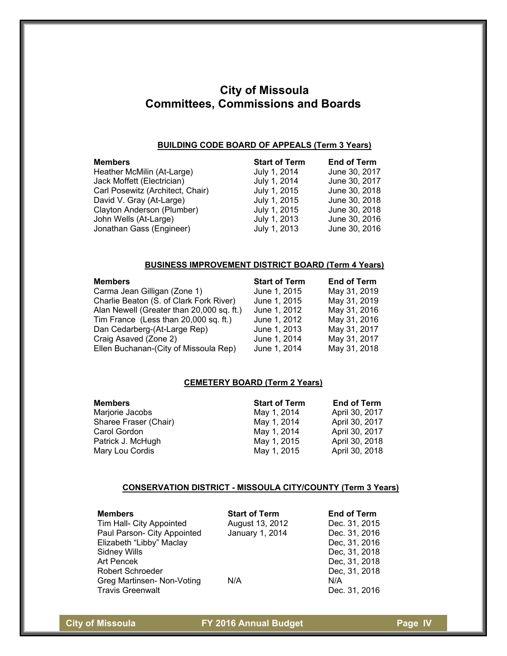#### **BUILDING CODE BOARD OF APPEALS (Term 3 Years)**

| <b>Members</b>                   | <b>Start of Term</b> | <b>End of Term</b> |
|----------------------------------|----------------------|--------------------|
| Heather McMilin (At-Large)       | July 1, 2014         | June 30, 2017      |
| Jack Moffett (Electrician)       | July 1, 2014         | June 30, 2017      |
| Carl Posewitz (Architect, Chair) | July 1, 2015         | June 30, 2018      |
| David V. Gray (At-Large)         | July 1, 2015         | June 30, 2018      |
| Clayton Anderson (Plumber)       | July 1, 2015         | June 30, 2018      |
| John Wells (At-Large)            | July 1, 2013         | June 30, 2016      |
| Jonathan Gass (Engineer)         | July 1, 2013         | June 30, 2016      |
|                                  |                      |                    |

### **BUSINESS IMPROVEMENT DISTRICT BOARD (Term 4 Years)**

| <b>Members</b>                            | <b>Start of Term</b> | <b>End of Term</b> |
|-------------------------------------------|----------------------|--------------------|
| Carma Jean Gilligan (Zone 1)              | June 1, 2015         | May 31, 2019       |
| Charlie Beaton (S. of Clark Fork River)   | June 1, 2015         | May 31, 2019       |
| Alan Newell (Greater than 20,000 sq. ft.) | June 1, 2012         | May 31, 2016       |
| Tim France (Less than 20,000 sq. ft.)     | June 1, 2012         | May 31, 2016       |
| Dan Cedarberg-(At-Large Rep)              | June 1, 2013         | May 31, 2017       |
| Craig Asaved (Zone 2)                     | June 1, 2014         | May 31, 2017       |
| Ellen Buchanan-(City of Missoula Rep)     | June 1, 2014         | May 31, 2018       |

### **CEMETERY BOARD (Term 2 Years)**

| <b>Members</b>        | <b>Start of Term</b> | <b>End of Term</b> |
|-----------------------|----------------------|--------------------|
| Marjorie Jacobs       | May 1, 2014          | April 30, 2017     |
| Sharee Fraser (Chair) | May 1, 2014          | April 30, 2017     |
| Carol Gordon          | May 1, 2014          | April 30, 2017     |
| Patrick J. McHugh     | May 1, 2015          | April 30, 2018     |
| Mary Lou Cordis       | May 1, 2015          | April 30, 2018     |

#### **CONSERVATION DISTRICT - MISSOULA CITY/COUNTY (Term 3 Years)**

| <b>Members</b><br>Tim Hall- City Appointed | <b>Start of Term</b><br>August 13, 2012 | <b>End of Term</b><br>Dec. 31, 2015 |
|--------------------------------------------|-----------------------------------------|-------------------------------------|
| Paul Parson- City Appointed                | January 1, 2014                         | Dec. 31, 2016                       |
| Elizabeth "Libby" Maclay                   |                                         | Dec, 31, 2016                       |
| <b>Sidney Wills</b>                        |                                         | Dec, 31, 2018                       |
| <b>Art Pencek</b>                          |                                         | Dec, 31, 2018                       |
| <b>Robert Schroeder</b>                    |                                         | Dec, 31, 2018                       |
| Greg Martinsen- Non-Voting                 | N/A                                     | N/A                                 |
| <b>Travis Greenwalt</b>                    |                                         | Dec. 31, 2016                       |

**City of Missoula City of Missoula** FY 2016 Annual Budget Page IV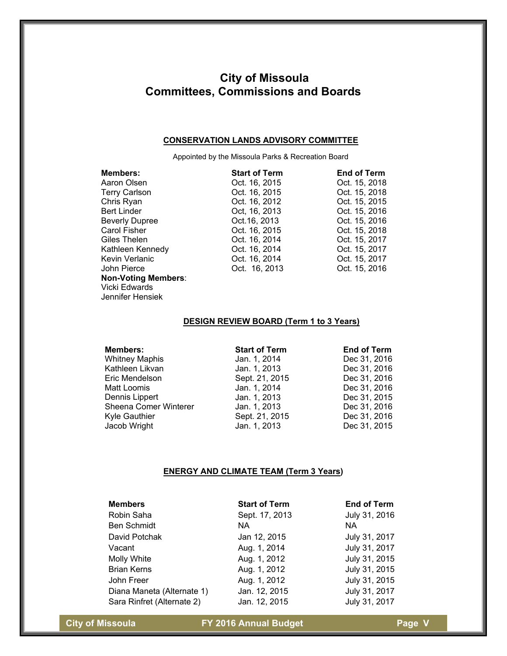#### **CONSERVATION LANDS ADVISORY COMMITTEE**

Appointed by the Missoula Parks & Recreation Board

| Members:                   | <b>Start of Term</b> | <b>End of Term</b> |
|----------------------------|----------------------|--------------------|
| Aaron Olsen                | Oct. 16, 2015        | Oct. 15, 2018      |
| <b>Terry Carlson</b>       | Oct. 16, 2015        | Oct. 15, 2018      |
| Chris Ryan                 | Oct. 16, 2012        | Oct. 15, 2015      |
| <b>Bert Linder</b>         | Oct, 16, 2013        | Oct. 15, 2016      |
| <b>Beverly Dupree</b>      | Oct. 16, 2013        | Oct. 15, 2016      |
| Carol Fisher               | Oct. 16, 2015        | Oct. 15, 2018      |
| Giles Thelen               | Oct. 16, 2014        | Oct. 15, 2017      |
| Kathleen Kennedy           | Oct. 16, 2014        | Oct. 15, 2017      |
| Kevin Verlanic             | Oct. 16, 2014        | Oct. 15, 2017      |
| John Pierce                | Oct. 16, 2013        | Oct. 15, 2016      |
| <b>Non-Voting Members:</b> |                      |                    |
| Vicki Edwards              |                      |                    |
| Jennifer Hensiek           |                      |                    |

### **DESIGN REVIEW BOARD (Term 1 to 3 Years)**

| <b>Members:</b>       | <b>Start of Term</b> | <b>End of Term</b> |
|-----------------------|----------------------|--------------------|
| <b>Whitney Maphis</b> | Jan. 1, 2014         | Dec 31, 2016       |
| Kathleen Likvan       | Jan. 1, 2013         | Dec 31, 2016       |
| Eric Mendelson        | Sept. 21, 2015       | Dec 31, 2016       |
| Matt Loomis           | Jan. 1, 2014         | Dec 31, 2016       |
| Dennis Lippert        | Jan. 1, 2013         | Dec 31, 2015       |
| Sheena Comer Winterer | Jan. 1, 2013         | Dec 31, 2016       |
| <b>Kyle Gauthier</b>  | Sept. 21, 2015       | Dec 31, 2016       |
| Jacob Wright          | Jan. 1, 2013         | Dec 31, 2015       |

#### **ENERGY AND CLIMATE TEAM (Term 3 Years)**

| <b>Members</b>             | <b>Start of Term</b> | <b>End of Term</b> |
|----------------------------|----------------------|--------------------|
| Robin Saha                 | Sept. 17, 2013       | July 31, 2016      |
| <b>Ben Schmidt</b>         | NA.                  | NA.                |
| David Potchak              | Jan 12, 2015         | July 31, 2017      |
| Vacant                     | Aug. 1, 2014         | July 31, 2017      |
| Molly White                | Aug. 1, 2012         | July 31, 2015      |
| <b>Brian Kerns</b>         | Aug. 1, 2012         | July 31, 2015      |
| John Freer                 | Aug. 1, 2012         | July 31, 2015      |
| Diana Maneta (Alternate 1) | Jan. 12, 2015        | July 31, 2017      |
| Sara Rinfret (Alternate 2) | Jan. 12, 2015        | July 31, 2017      |

**City of Missoula City of Missoula** FY 2016 Annual Budget Page V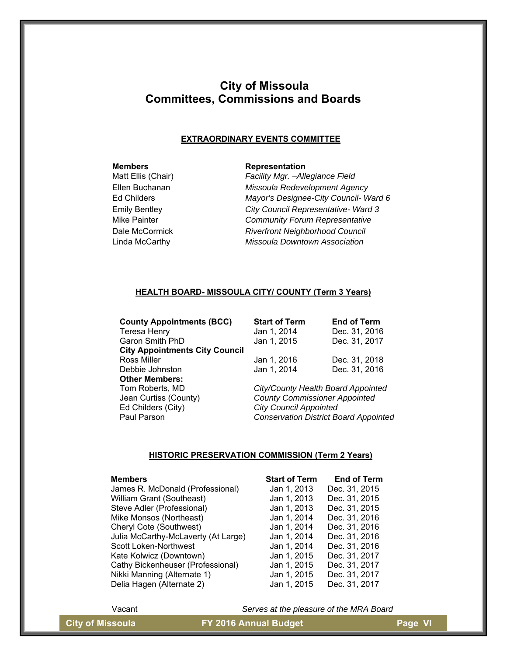#### **EXTRAORDINARY EVENTS COMMITTEE**

### **Members** Representation

Matt Ellis (Chair) *Facility Mgr. –Allegiance Field*  Ellen Buchanan *Missoula Redevelopment Agency*  Ed Childers *Mayor's Designee-City Council- Ward 6*  Emily Bentley *City Council Representative- Ward 3*  Mike Painter *Community Forum Representative*  Dale McCormick *Riverfront Neighborhood Council*  Linda McCarthy *Missoula Downtown Association* 

#### **HEALTH BOARD- MISSOULA CITY/ COUNTY (Term 3 Years)**

**County Appointments (BCC)** Teresa Henry Garon Smith PhD **City Appointments City Council**  Ross Miller Debbie Johnston **Other Members:**  Tom Roberts, MD *City/County Health Board Appointed*  Jean Curtiss (County) *County Commissioner Appointed*  Ed Childers (City) *City Council Appointed* 

| <b>Start of Term</b> | <b>End of Term</b> |
|----------------------|--------------------|
| Jan 1, 2014          | Dec. 31, 2016      |
| Jan 1, 2015          | Dec. 31, 2017      |
| Jan 1, 2016          | Dec. 31, 2018      |
| Jan 1, 2014          | Dec. 31, 2016      |

**Conservation District Board Appointed** 

### **HISTORIC PRESERVATION COMMISSION (Term 2 Years)**

#### **Members Start of Term in Term in Start of Term**  $\mathbf{S}$ t

| James R. McDonald (Professional)    | Jan 1, 2013 | Dec. 31, 2015 |
|-------------------------------------|-------------|---------------|
| William Grant (Southeast)           | Jan 1, 2013 | Dec. 31, 2015 |
| Steve Adler (Professional)          | Jan 1, 2013 | Dec. 31, 2015 |
| Mike Monsos (Northeast)             | Jan 1, 2014 | Dec. 31, 2016 |
| Cheryl Cote (Southwest)             | Jan 1, 2014 | Dec. 31, 2016 |
| Julia McCarthy-McLaverty (At Large) | Jan 1, 2014 | Dec. 31, 2016 |
| Scott Loken-Northwest               | Jan 1, 2014 | Dec. 31, 2016 |
| Kate Kolwicz (Downtown)             | Jan 1, 2015 | Dec. 31, 2017 |
| Cathy Bickenheuser (Professional)   | Jan 1, 2015 | Dec. 31, 2017 |
| Nikki Manning (Alternate 1)         | Jan 1, 2015 | Dec. 31, 2017 |
| Delia Hagen (Alternate 2)           | Jan 1, 2015 | Dec. 31, 2017 |
|                                     |             |               |

| ເart or Term | Encio Tierm   |
|--------------|---------------|
| lan 1, 2013  | Dec. 31, 2015 |
| lan 1, 2013  | Dec. 31, 2015 |
| lan 1, 2013  | Dec. 31, 2015 |
| lan 1, 2014  | Dec. 31, 2016 |
| lan 1, 2014  | Dec. 31, 2016 |
| lan 1, 2014  | Dec. 31, 2016 |
| lan 1, 2014  | Dec. 31, 2016 |
| lan 1, 2015  | Dec. 31, 2017 |
| lan 1, 2015  | Dec. 31, 2017 |
| lan 1, 2015  | Dec. 31, 2017 |
| lan 1, 2015  | Dec. 31, 2017 |
|              |               |

Vacant *Serves at the pleasure of the MRA Board*

**City of Missoula City of Missoula** FY 2016 Annual Budget **Page VI**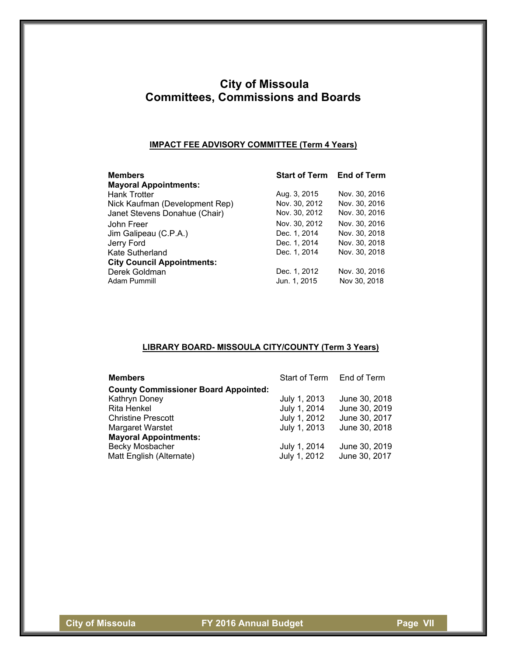### **IMPACT FEE ADVISORY COMMITTEE (Term 4 Years)**

| <b>Members</b><br><b>Mayoral Appointments:</b> | <b>Start of Term End of Term</b> |               |
|------------------------------------------------|----------------------------------|---------------|
| <b>Hank Trotter</b>                            | Aug. 3, 2015                     | Nov. 30, 2016 |
| Nick Kaufman (Development Rep)                 | Nov. 30, 2012                    | Nov. 30, 2016 |
| Janet Stevens Donahue (Chair)                  | Nov. 30, 2012                    | Nov. 30, 2016 |
| John Freer                                     | Nov. 30, 2012                    | Nov. 30, 2016 |
| Jim Galipeau (C.P.A.)                          | Dec. 1, 2014                     | Nov. 30, 2018 |
| Jerry Ford                                     | Dec. 1, 2014                     | Nov. 30, 2018 |
| Kate Sutherland                                | Dec. 1, 2014                     | Nov. 30, 2018 |
| <b>City Council Appointments:</b>              |                                  |               |
| Derek Goldman                                  | Dec. 1, 2012                     | Nov. 30, 2016 |
| Adam Pummill                                   | Jun. 1, 2015                     | Nov 30, 2018  |

# **LIBRARY BOARD- MISSOULA CITY/COUNTY (Term 3 Years)**

| <b>Members</b>                              | Start of Term End of Term |               |
|---------------------------------------------|---------------------------|---------------|
| <b>County Commissioner Board Appointed:</b> |                           |               |
| Kathryn Doney                               | July 1, 2013              | June 30, 2018 |
| Rita Henkel                                 | July 1, 2014              | June 30, 2019 |
| <b>Christine Prescott</b>                   | July 1, 2012              | June 30, 2017 |
| <b>Margaret Warstet</b>                     | July 1, 2013              | June 30, 2018 |
| <b>Mayoral Appointments:</b>                |                           |               |
| Becky Mosbacher                             | July 1, 2014              | June 30, 2019 |
| Matt English (Alternate)                    | July 1, 2012              | June 30, 2017 |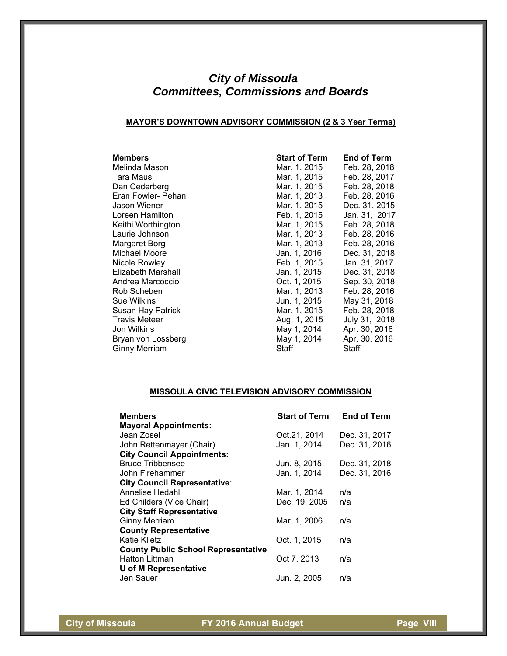### **MAYOR'S DOWNTOWN ADVISORY COMMISSION (2 & 3 Year Terms)**

| <b>Members</b>       | <b>Start of Term</b> | End of Term   |
|----------------------|----------------------|---------------|
| Melinda Mason        | Mar. 1, 2015         | Feb. 28, 2018 |
| Tara Maus            | Mar. 1, 2015         | Feb. 28, 2017 |
| Dan Cederberg        | Mar. 1, 2015         | Feb. 28, 2018 |
| Eran Fowler- Pehan   | Mar. 1, 2013         | Feb. 28, 2016 |
| Jason Wiener         | Mar. 1, 2015         | Dec. 31, 2015 |
| Loreen Hamilton      | Feb. 1, 2015         | Jan. 31, 2017 |
| Keithi Worthington   | Mar. 1, 2015         | Feb. 28, 2018 |
| Laurie Johnson       | Mar. 1, 2013         | Feb. 28, 2016 |
| Margaret Borg        | Mar. 1, 2013         | Feb. 28, 2016 |
| Michael Moore        | Jan. 1, 2016         | Dec. 31, 2018 |
| Nicole Rowley        | Feb. 1, 2015         | Jan. 31, 2017 |
| Elizabeth Marshall   | Jan. 1, 2015         | Dec. 31, 2018 |
| Andrea Marcoccio     | Oct. 1, 2015         | Sep. 30, 2018 |
| Rob Scheben          | Mar. 1, 2013         | Feb. 28, 2016 |
| Sue Wilkins          | Jun. 1, 2015         | May 31, 2018  |
| Susan Hay Patrick    | Mar. 1, 2015         | Feb. 28, 2018 |
| <b>Travis Meteer</b> | Aug. 1, 2015         | July 31, 2018 |
| Jon Wilkins          | May 1, 2014          | Apr. 30, 2016 |
| Bryan von Lossberg   | May 1, 2014          | Apr. 30, 2016 |
| Ginny Merriam        | Staff                | Staff         |

# **MISSOULA CIVIC TELEVISION ADVISORY COMMISSION**

| <b>Members</b>                             | <b>Start of Term</b> | <b>End of Term</b> |
|--------------------------------------------|----------------------|--------------------|
| <b>Mayoral Appointments:</b>               |                      |                    |
| Jean Zosel                                 | Oct.21, 2014         | Dec. 31, 2017      |
| John Rettenmayer (Chair)                   | Jan. 1, 2014         | Dec. 31, 2016      |
| <b>City Council Appointments:</b>          |                      |                    |
| <b>Bruce Tribbensee</b>                    | Jun. 8, 2015         | Dec. 31, 2018      |
| John Firehammer                            | Jan. 1, 2014         | Dec. 31, 2016      |
| <b>City Council Representative:</b>        |                      |                    |
| Annelise Hedahl                            | Mar. 1, 2014         | n/a                |
| Ed Childers (Vice Chair)                   | Dec. 19, 2005        | n/a                |
| <b>City Staff Representative</b>           |                      |                    |
| <b>Ginny Merriam</b>                       | Mar. 1, 2006         | n/a                |
| <b>County Representative</b>               |                      |                    |
| Katie Klietz                               | Oct. 1, 2015         | n/a                |
| <b>County Public School Representative</b> |                      |                    |
| <b>Hatton Littman</b>                      | Oct 7, 2013          | n/a                |
| <b>U</b> of M Representative               |                      |                    |
| Jen Sauer                                  | Jun. 2, 2005         | n/a                |

**City of Missoula FY 2016 Annual Budget Page VIII**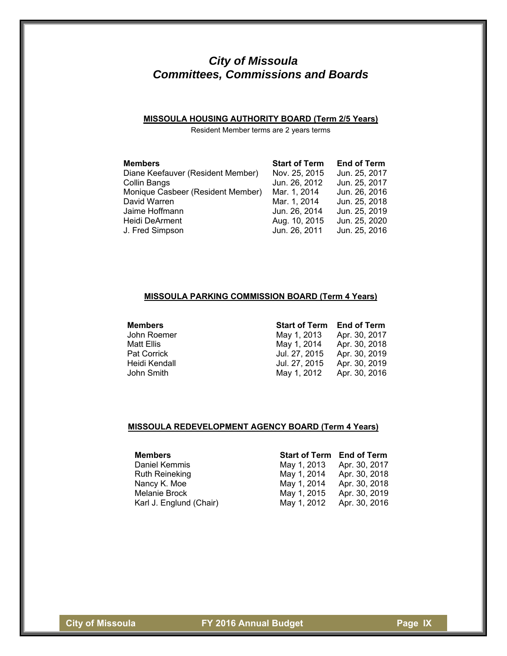# **MISSOULA HOUSING AUTHORITY BOARD (Term 2/5 Years)**

Resident Member terms are 2 years terms

| <b>Members</b>                    | <b>Start of Term</b> | <b>End of Term</b> |
|-----------------------------------|----------------------|--------------------|
| Diane Keefauver (Resident Member) | Nov. 25, 2015        | Jun. 25, 2017      |
| Collin Bangs                      | Jun. 26, 2012        | Jun. 25, 2017      |
| Monique Casbeer (Resident Member) | Mar. 1, 2014         | Jun. 26, 2016      |
| David Warren                      | Mar. 1, 2014         | Jun. 25, 2018      |
| Jaime Hoffmann                    | Jun. 26, 2014        | Jun. 25, 2019      |
| Heidi DeArment                    | Aug. 10, 2015        | Jun. 25, 2020      |
| J. Fred Simpson                   | Jun. 26, 2011        | Jun. 25, 2016      |

# **MISSOULA PARKING COMMISSION BOARD (Term 4 Years)**

| mempers |           |
|---------|-----------|
|         | John Roen |

| Members       | <b>Start of Term End of Term</b> |               |
|---------------|----------------------------------|---------------|
| John Roemer   | May 1, 2013                      | Apr. 30, 2017 |
| Matt Ellis    | May 1, 2014                      | Apr. 30, 2018 |
| Pat Corrick   | Jul. 27, 2015                    | Apr. 30, 2019 |
| Heidi Kendall | Jul. 27, 2015                    | Apr. 30, 2019 |
| John Smith    | May 1, 2012                      | Apr. 30, 2016 |

#### **MISSOULA REDEVELOPMENT AGENCY BOARD (Term 4 Years)**

| <b>Members</b>          | <b>Start of Term End of Term</b> |               |
|-------------------------|----------------------------------|---------------|
| Daniel Kemmis           | May 1, 2013                      | Apr. 30, 2017 |
| <b>Ruth Reineking</b>   | May 1, 2014                      | Apr. 30, 2018 |
| Nancy K. Moe            | May 1, 2014                      | Apr. 30, 2018 |
| Melanie Brock           | May 1, 2015                      | Apr. 30, 2019 |
| Karl J. Englund (Chair) | May 1, 2012                      | Apr. 30, 2016 |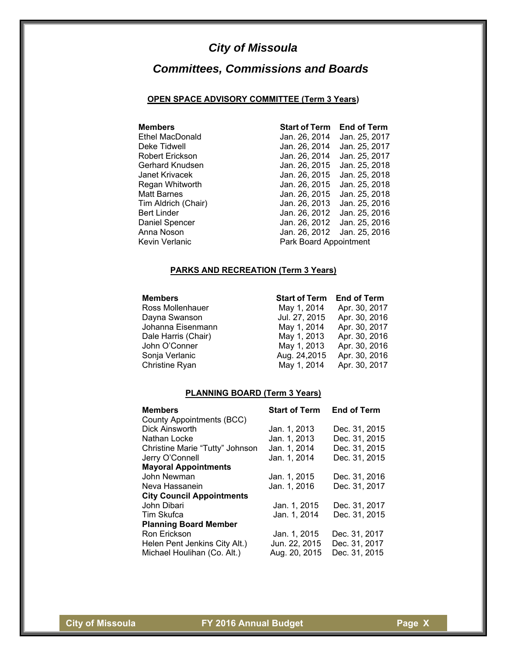# *City of Missoula*

# *Committees, Commissions and Boards*

### **OPEN SPACE ADVISORY COMMITTEE (Term 3 Years)**

| <b>Members</b>         | <b>Start of Term</b>   | <b>End of Term</b> |
|------------------------|------------------------|--------------------|
| <b>Ethel MacDonald</b> | Jan. 26, 2014          | Jan. 25, 2017      |
| Deke Tidwell           | Jan. 26, 2014          | Jan. 25, 2017      |
| Robert Erickson        | Jan. 26, 2014          | Jan. 25, 2017      |
| Gerhard Knudsen        | Jan. 26, 2015          | Jan. 25, 2018      |
| Janet Krivacek         | Jan. 26, 2015          | Jan. 25, 2018      |
| Regan Whitworth        | Jan. 26, 2015          | Jan. 25, 2018      |
| <b>Matt Barnes</b>     | Jan. 26, 2015          | Jan. 25, 2018      |
| Tim Aldrich (Chair)    | Jan. 26, 2013          | Jan. 25, 2016      |
| <b>Bert Linder</b>     | Jan. 26, 2012          | Jan. 25, 2016      |
| Daniel Spencer         | Jan. 26, 2012          | Jan. 25, 2016      |
| Anna Noson             | Jan. 26, 2012          | Jan. 25, 2016      |
| Kevin Verlanic         | Park Board Appointment |                    |

# **PARKS AND RECREATION (Term 3 Years)**

# **Members Start of Term End of Term**

Ross Mollenhauer Dayna Swanson Johanna Eisenmann Dale Harris (Chair) John O'Conner Sonja Verlanic Christine Ryan

| May 1, 2014   | Apr. 30, 2017 |
|---------------|---------------|
| Jul. 27, 2015 | Apr. 30, 2016 |
| May 1, 2014   | Apr. 30, 2017 |
| May 1, 2013   | Apr. 30, 2016 |
| May 1, 2013   | Apr. 30, 2016 |
| Aug. 24,2015  | Apr. 30, 2016 |
| May 1, 2014   | Apr. 30, 2017 |
|               |               |

### **PLANNING BOARD (Term 3 Years)**

| <b>Members</b>                   | <b>Start of Term</b> | <b>End of Term</b> |
|----------------------------------|----------------------|--------------------|
| County Appointments (BCC)        |                      |                    |
| Dick Ainsworth                   | Jan. 1, 2013         | Dec. 31, 2015      |
| Nathan Locke                     | Jan. 1, 2013         | Dec. 31, 2015      |
| Christine Marie "Tutty" Johnson  | Jan. 1, 2014         | Dec. 31, 2015      |
| Jerry O'Connell                  | Jan. 1, 2014         | Dec. 31, 2015      |
| <b>Mayoral Appointments</b>      |                      |                    |
| John Newman                      | Jan. 1, 2015         | Dec. 31, 2016      |
| Neva Hassanein                   | Jan. 1, 2016         | Dec. 31, 2017      |
| <b>City Council Appointments</b> |                      |                    |
| John Dibari                      | Jan. 1, 2015         | Dec. 31, 2017      |
| Tim Skufca                       | Jan. 1, 2014         | Dec. 31, 2015      |
| <b>Planning Board Member</b>     |                      |                    |
| Ron Erickson                     | Jan. 1, 2015         | Dec. 31, 2017      |
| Helen Pent Jenkins City Alt.)    | Jun. 22, 2015        | Dec. 31, 2017      |
| Michael Houlihan (Co. Alt.)      | Aug. 20, 2015        | Dec. 31, 2015      |

**City of Missoula FY 2016 Annual Budget Page X**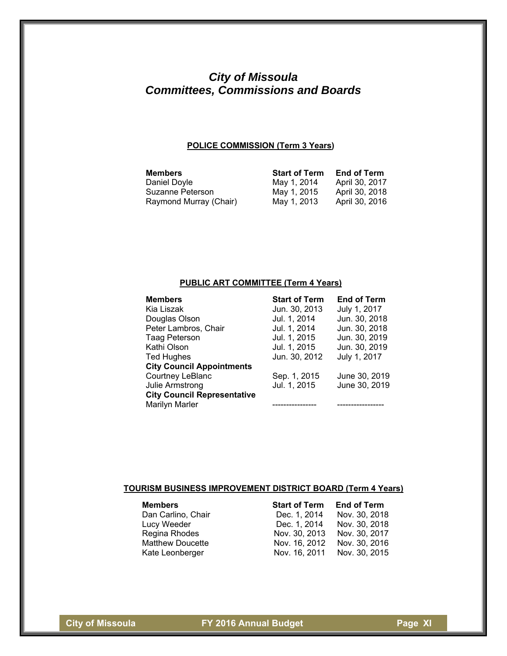# **POLICE COMMISSION (Term 3 Years)**

| <b>Members</b>         | <b>Start of Term</b> | <b>End of Term</b> |
|------------------------|----------------------|--------------------|
| Daniel Doyle           | May 1, 2014          | April 30, 2017     |
| Suzanne Peterson       | May 1, 2015          | April 30, 2018     |
| Raymond Murray (Chair) | May 1, 2013          | April 30, 2016     |

# **PUBLIC ART COMMITTEE (Term 4 Years)**

| <b>Members</b>                     | <b>Start of Term</b> | <b>End of Term</b> |
|------------------------------------|----------------------|--------------------|
| Kia Liszak                         | Jun. 30, 2013        | July 1, 2017       |
| Douglas Olson                      | Jul. 1, 2014         | Jun. 30, 2018      |
| Peter Lambros, Chair               | Jul. 1, 2014         | Jun. 30, 2018      |
| <b>Taag Peterson</b>               | Jul. 1, 2015         | Jun. 30, 2019      |
| Kathi Olson                        | Jul. 1, 2015         | Jun. 30, 2019      |
| <b>Ted Hughes</b>                  | Jun. 30, 2012        | July 1, 2017       |
| <b>City Council Appointments</b>   |                      |                    |
| Courtney LeBlanc                   | Sep. 1, 2015         | June 30, 2019      |
| Julie Armstrong                    | Jul. 1, 2015         | June 30, 2019      |
| <b>City Council Representative</b> |                      |                    |
| <b>Marilyn Marler</b>              |                      |                    |

### **TOURISM BUSINESS IMPROVEMENT DISTRICT BOARD (Term 4 Years)**

| <b>Members</b>          | <b>Start of Term</b> | <b>End of Term</b>          |
|-------------------------|----------------------|-----------------------------|
| Dan Carlino, Chair      | Dec. 1, 2014         | Nov. 30, 2018               |
| Lucy Weeder             | Dec. 1, 2014         | Nov. 30, 2018               |
| Regina Rhodes           | Nov. 30, 2013        | Nov. 30, 2017               |
| <b>Matthew Doucette</b> | Nov. 16, 2012        | Nov. 30, 2016               |
| Kate Leonberger         |                      | Nov. 16, 2011 Nov. 30, 2015 |

**City of Missoula City of Missoula** FY 2016 Annual Budget **Page XI**